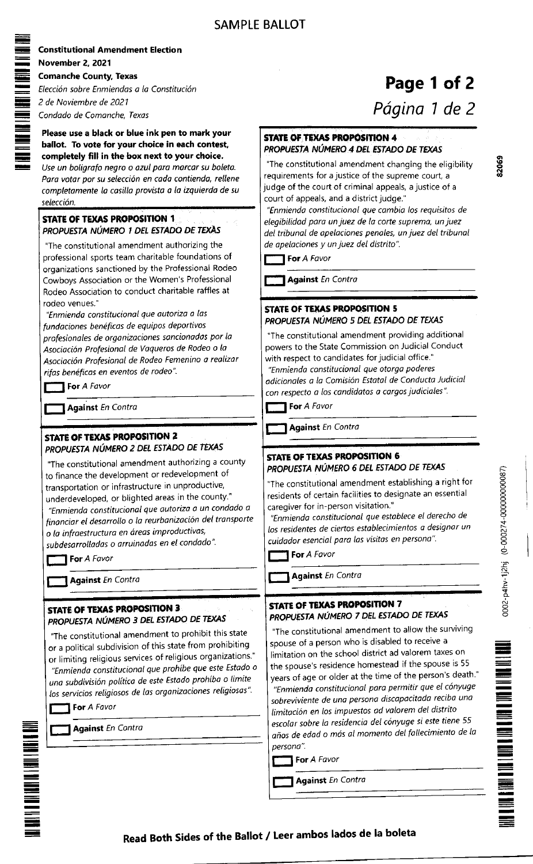- - - - E

-

n

- - T E

> - -

- - -

> <u>-</u> - -

| <b>Constitutional Amendment Election</b>                                                                                                                                                                                                                                                                                                                                                                                                                                                                                              |                                                                                                                                                                                                                                                                                                                                                                                                                            |
|---------------------------------------------------------------------------------------------------------------------------------------------------------------------------------------------------------------------------------------------------------------------------------------------------------------------------------------------------------------------------------------------------------------------------------------------------------------------------------------------------------------------------------------|----------------------------------------------------------------------------------------------------------------------------------------------------------------------------------------------------------------------------------------------------------------------------------------------------------------------------------------------------------------------------------------------------------------------------|
| <b>November 2, 2021</b>                                                                                                                                                                                                                                                                                                                                                                                                                                                                                                               |                                                                                                                                                                                                                                                                                                                                                                                                                            |
| <b>Comanche County, Texas</b>                                                                                                                                                                                                                                                                                                                                                                                                                                                                                                         |                                                                                                                                                                                                                                                                                                                                                                                                                            |
| Elección sobre Enmiendas a la Constitución                                                                                                                                                                                                                                                                                                                                                                                                                                                                                            | <b>Pag</b><br><i>Págir</i>                                                                                                                                                                                                                                                                                                                                                                                                 |
| 2 de Noviembre de 2021                                                                                                                                                                                                                                                                                                                                                                                                                                                                                                                |                                                                                                                                                                                                                                                                                                                                                                                                                            |
| Condado de Comanche, Texas                                                                                                                                                                                                                                                                                                                                                                                                                                                                                                            |                                                                                                                                                                                                                                                                                                                                                                                                                            |
| Please use a black or blue ink pen to mark your<br>ballot. To vote for your choice in each contest,<br>completely fill in the box next to your choice.<br>Use un boligrafo negro o azul para marcar su boleta.<br>Para votar por su selección en cada contienda, rellene<br>completamente la casilla provista a la izquierda de su                                                                                                                                                                                                    | STATE OF TEXAS PROPOSITION 4<br>PROPUESTA NÚMERO 4 DEL ESTADO D<br>"The constitutional amendment changi<br>requirements for a justice of the supren<br>judge of the court of criminal appeals, a<br>court of appeals, and a district judge."                                                                                                                                                                               |
| selección.<br><b>STATE OF TEXAS PROPOSITION 1</b><br>PROPUESTA NÚMERO 1 DEL ESTADO DE TEXAS<br>"The constitutional amendment authorizing the<br>professional sports team charitable foundations of<br>organizations sanctioned by the Professional Rodeo                                                                                                                                                                                                                                                                              | "Enmienda constitucional que cambia li<br>elegibilidad para un juez de la corte sup<br>del tribunal de apelaciones penales, un j<br>de apelaciones y un juez del distrito".<br>For A Favor                                                                                                                                                                                                                                 |
| Cowboys Association or the Women's Professional                                                                                                                                                                                                                                                                                                                                                                                                                                                                                       | <b>Against En Contra</b>                                                                                                                                                                                                                                                                                                                                                                                                   |
| Rodeo Association to conduct charitable raffles at                                                                                                                                                                                                                                                                                                                                                                                                                                                                                    |                                                                                                                                                                                                                                                                                                                                                                                                                            |
| rodeo venues."<br>"Enmienda constitucional que autoriza a las<br>fundaciones benéficas de equipos deportivos<br>profesionales de organizaciones sancionadas por la<br>Asociación Profesional de Vaqueros de Rodeo o la<br>Asociación Profesional de Rodeo Femenino a realizar<br>rifas benéficas en eventos de rodeo".                                                                                                                                                                                                                | <b>STATE OF TEXAS PROPOSITION 5</b><br>PROPUESTA NÚMERO 5 DEL ESTADO D<br>"The constitutional amendment provid<br>powers to the State Commission on Jud<br>with respect to candidates for judicial o<br>"Enmienda constitucional que otorga p<br>adicionales a la Comisión Estatal de Co.                                                                                                                                  |
| For A Favor                                                                                                                                                                                                                                                                                                                                                                                                                                                                                                                           | con respecto a los candidatos a cargos j                                                                                                                                                                                                                                                                                                                                                                                   |
| <b>Against En Contra</b>                                                                                                                                                                                                                                                                                                                                                                                                                                                                                                              | For A Favor                                                                                                                                                                                                                                                                                                                                                                                                                |
|                                                                                                                                                                                                                                                                                                                                                                                                                                                                                                                                       | <b>Against En Contra</b>                                                                                                                                                                                                                                                                                                                                                                                                   |
| <b>STATE OF TEXAS PROPOSITION 2</b><br>PROPUESTA NÚMERO 2 DEL ESTADO DE TEXAS<br>"The constitutional amendment authorizing a county<br>to finance the development or redevelopment of<br>transportation or infrastructure in unproductive,<br>underdeveloped, or blighted areas in the county."<br>"Enmienda constitucional que autoriza a un condado a<br>financiar el desarrollo o la reurbanización del transporte<br>o la infraestructura en áreas improductivas,<br>subdesarrolladas o arruinadas en el condado".<br>For A Favor | STATE OF TEXAS PROPOSITION 6<br>PROPUESTA NÚMERO 6 DEL ESTADO I<br>"The constitutional amendment establi<br>residents of certain facilities to designa<br>caregiver for in-person visitation."<br>"Enmienda constitucional que establec<br>los residentes de ciertos establecimiento<br>cuidador esencial para las visitas en pe<br>For A Favor                                                                            |
| <b>Against En Contra</b>                                                                                                                                                                                                                                                                                                                                                                                                                                                                                                              | <b>Against En Contra</b>                                                                                                                                                                                                                                                                                                                                                                                                   |
|                                                                                                                                                                                                                                                                                                                                                                                                                                                                                                                                       |                                                                                                                                                                                                                                                                                                                                                                                                                            |
| <b>STATE OF TEXAS PROPOSITION 3</b><br>PROPUESTA NÚMERO 3 DEL ESTADO DE TEXAS                                                                                                                                                                                                                                                                                                                                                                                                                                                         | STATE OF TEXAS PROPOSITION 7<br>PROPUESTA NÚMERO 7 DEL ESTADO                                                                                                                                                                                                                                                                                                                                                              |
| "The constitutional amendment to prohibit this state<br>or a political subdivision of this state from prohibiting<br>or limiting religious services of religious organizations."<br>"Enmienda constitucional que prohíbe que este Estado o<br>una subdivisión política de este Estado prohíba o limite<br>los servicios religiosos de las organizaciones religiosas".<br>For A Favor<br><b>Against En Contra</b>                                                                                                                      | "The constitutional amendment to all<br>spouse of a person who is disabled to<br>limitation on the school district ad val<br>the spouse's residence homestead if t<br>years of age or older at the time of th<br>"Enmienda constitucional para permit<br>sobreviviente de una persona discapad<br>limitación en los impuestos ad valorer<br>escolar sobre la residencia del cónyugo<br>años de edad o más al momento del f |
|                                                                                                                                                                                                                                                                                                                                                                                                                                                                                                                                       | persona".<br>For A Favor                                                                                                                                                                                                                                                                                                                                                                                                   |
|                                                                                                                                                                                                                                                                                                                                                                                                                                                                                                                                       |                                                                                                                                                                                                                                                                                                                                                                                                                            |
|                                                                                                                                                                                                                                                                                                                                                                                                                                                                                                                                       | <b>Against En Contra</b>                                                                                                                                                                                                                                                                                                                                                                                                   |
|                                                                                                                                                                                                                                                                                                                                                                                                                                                                                                                                       |                                                                                                                                                                                                                                                                                                                                                                                                                            |

## ge 1 of 2

na 1 de 2

## DE TEXAS

ing the eligibility ne court, a a justice of a

os requisitos de elegia prema, un juez de Io conte super un juez de Io conte super un juez de Io conte super super super alta s juez del tribunal

DE TEXAS

 $\lim$  additional dicial Conduct office." oderes nducta Judicial judiciales"

## DE TEXAS

ishing a right for ate an essential

e el derecho de os a designar un ersona".

## DE TEXAS

low the surviving p receive a lorem taxes on the spouse is 55 e person's death." tir que el cónyuge citada reciba una m del distrito e si este tiene 55 fallecimiento de la



(n rD

Read Both Sides of the Ballot / Leer ambos lados de la boleta